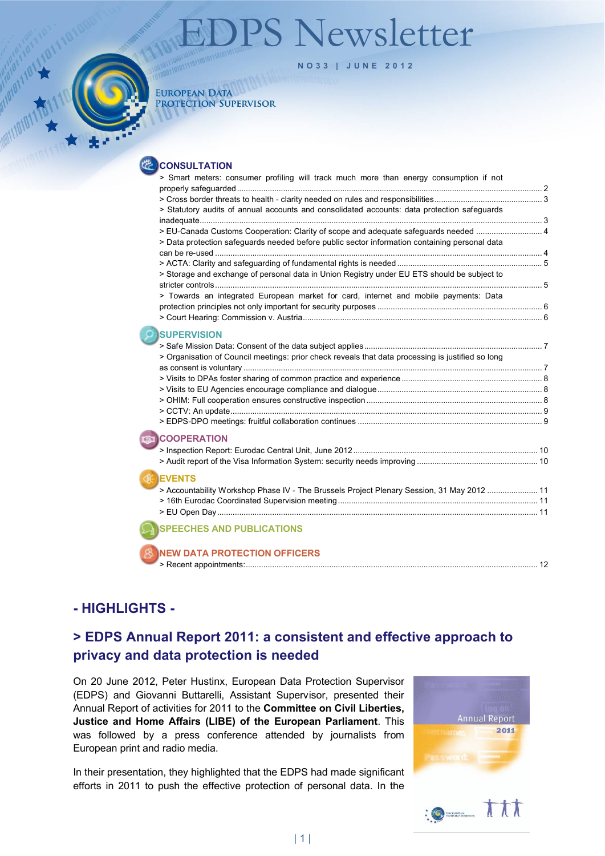# 'S Newsletter



**NO33 | JUNE 2012**

#### **EUROPEAN DATA** PROTECTION SUPERVISOR

**CONSULTATION** 

| > Smart meters: consumer profiling will track much more than energy consumption if not            |  |
|---------------------------------------------------------------------------------------------------|--|
|                                                                                                   |  |
| > Statutory audits of annual accounts and consolidated accounts: data protection safeguards       |  |
|                                                                                                   |  |
| > EU-Canada Customs Cooperation: Clarity of scope and adequate safeguards needed                  |  |
| > Data protection safeguards needed before public sector information containing personal data     |  |
|                                                                                                   |  |
|                                                                                                   |  |
| > Storage and exchange of personal data in Union Registry under EU ETS should be subject to       |  |
|                                                                                                   |  |
| > Towards an integrated European market for card, internet and mobile payments: Data              |  |
|                                                                                                   |  |
|                                                                                                   |  |
| <b>SUPERVISION</b>                                                                                |  |
|                                                                                                   |  |
| > Organisation of Council meetings: prior check reveals that data processing is justified so long |  |
|                                                                                                   |  |
|                                                                                                   |  |
|                                                                                                   |  |
|                                                                                                   |  |
|                                                                                                   |  |
|                                                                                                   |  |
|                                                                                                   |  |
| <b>COOPERATION</b>                                                                                |  |
|                                                                                                   |  |
|                                                                                                   |  |
| <b>EVENTS</b>                                                                                     |  |
| > Accountability Workshop Phase IV - The Brussels Project Plenary Session, 31 May 2012  11        |  |
|                                                                                                   |  |
|                                                                                                   |  |
|                                                                                                   |  |
| <b>SPEECHES AND PUBLICATIONS</b>                                                                  |  |
|                                                                                                   |  |
| <b>NEW DATA PROTECTION OFFICERS</b>                                                               |  |
|                                                                                                   |  |
|                                                                                                   |  |

# **- HIGHLIGHTS -**

# **> EDPS Annual Report 2011: a consistent and effective approach to privacy and data protection is needed**

On 20 June 2012, Peter Hustinx, European Data Protection Supervisor (EDPS) and Giovanni Buttarelli, Assistant Supervisor, presented their Annual Report of activities for 2011 to the **Committee on Civil Liberties, Justice and Home Affairs (LIBE) of the European Parliament**. This was followed by a press conference attended by journalists from European print and radio media.

In their presentation, they highlighted that the EDPS had made significant efforts in 2011 to push the effective protection of personal data. In the



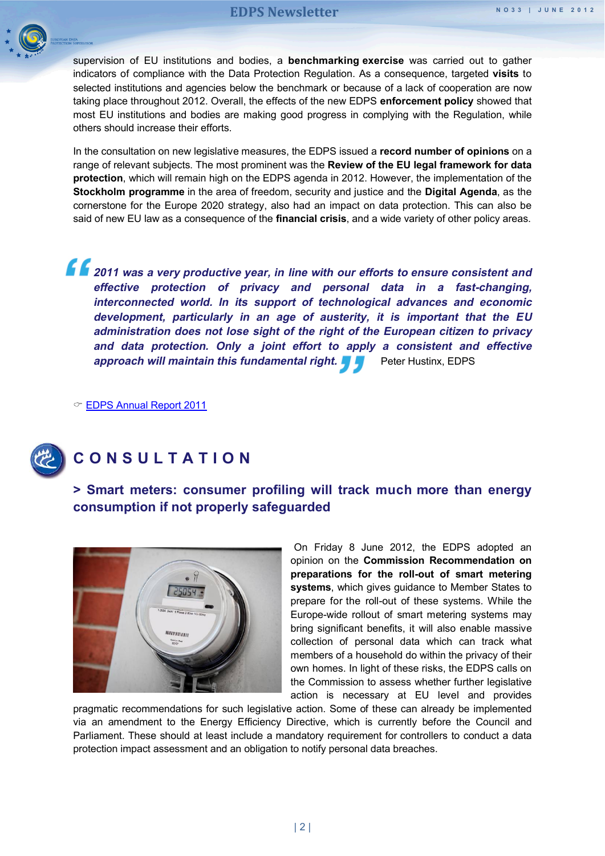

supervision of EU institutions and bodies, a **benchmarking exercise** was carried out to gather indicators of compliance with the Data Protection Regulation. As a consequence, targeted **visits** to selected institutions and agencies below the benchmark or because of a lack of cooperation are now taking place throughout 2012. Overall, the effects of the new EDPS **enforcement policy** showed that most EU institutions and bodies are making good progress in complying with the Regulation, while others should increase their efforts.

In the consultation on new legislative measures, the EDPS issued a **record number of opinions** on a range of relevant subjects. The most prominent was the **Review of the EU legal framework for data protection**, which will remain high on the EDPS agenda in 2012. However, the implementation of the **Stockholm programme** in the area of freedom, security and justice and the **Digital Agenda**, as the cornerstone for the Europe 2020 strategy, also had an impact on data protection. This can also be said of new EU law as a consequence of the **financial crisis**, and a wide variety of other policy areas.

**2011 was a very productive year, in line with our efforts to ensure consistent and effective protection of privacy and personal data in a fast-changing, interconnected world. In its support of technological advances and economic development, particularly in an age of austerity, it is important that the EU administration does not lose sight of the right of the European citizen to privacy and data protection. Only a joint effort to apply a consistent and effective approach will maintain this fundamental right.** Peter Hustinx, EDPS

[EDPS Annual Report 2011](http://www.edps.europa.eu/EDPSWEB/edps/cache/off/EDPS/Publications/AR)

<span id="page-1-1"></span><span id="page-1-0"></span>

# **CONSULTATION**

**> Smart meters: consumer profiling will track much more than energy consumption if not properly safeguarded** 



On Friday 8 June 2012, the EDPS adopted an opinion on the **Commission Recommendation on preparations for the roll-out of smart metering systems**, which gives guidance to Member States to prepare for the roll-out of these systems. While the Europe-wide rollout of smart metering systems may bring significant benefits, it will also enable massive collection of personal data which can track what members of a household do within the privacy of their own homes. In light of these risks, the EDPS calls on the Commission to assess whether further legislative action is necessary at EU level and provides

pragmatic recommendations for such legislative action. Some of these can already be implemented via an amendment to the Energy Efficiency Directive, which is currently before the Council and Parliament. These should at least include a mandatory requirement for controllers to conduct a data protection impact assessment and an obligation to notify personal data breaches.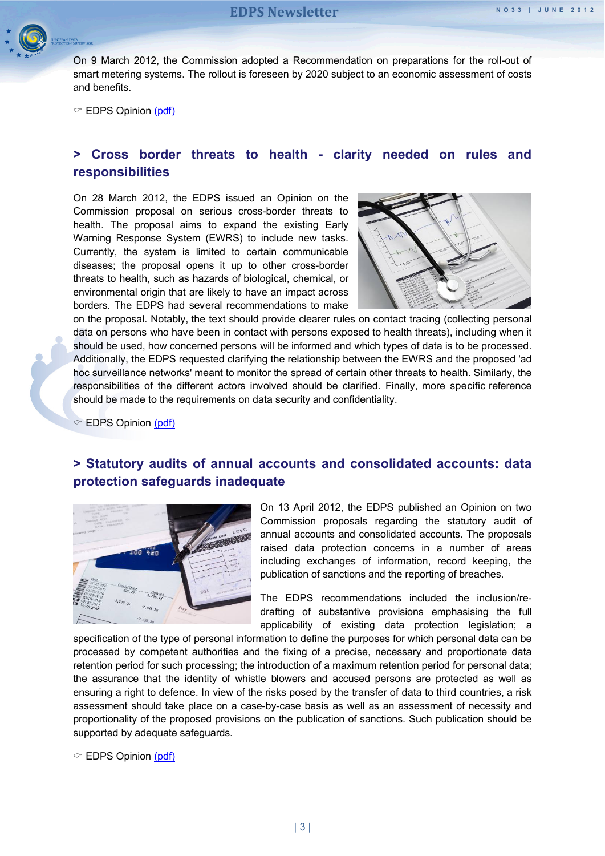

On 9 March 2012, the Commission adopted a Recommendation on preparations for the roll-out of smart metering systems. The rollout is foreseen by 2020 subject to an economic assessment of costs and benefits.

 $\degree$  EDPS Opinion [\(pdf\)](http://www.edps.europa.eu/EDPSWEB/webdav/site/mySite/shared/Documents/Consultation/Opinions/2012/12-06-08_Smart_metering_EN.pdf)

#### <span id="page-2-0"></span>**> Cross border threats to health - clarity needed on rules and responsibilities**

On 28 March 2012, the EDPS issued an Opinion on the Commission proposal on serious cross-border threats to health. The proposal aims to expand the existing Early Warning Response System (EWRS) to include new tasks. Currently, the system is limited to certain communicable diseases; the proposal opens it up to other cross-border threats to health, such as hazards of biological, chemical, or environmental origin that are likely to have an impact across borders. The EDPS had several recommendations to make



on the proposal. Notably, the text should provide clearer rules on contact tracing (collecting personal data on persons who have been in contact with persons exposed to health threats), including when it should be used, how concerned persons will be informed and which types of data is to be processed. Additionally, the EDPS requested clarifying the relationship between the EWRS and the proposed 'ad hoc surveillance networks' meant to monitor the spread of certain other threats to health. Similarly, the responsibilities of the different actors involved should be clarified. Finally, more specific reference should be made to the requirements on data security and confidentiality.

 $\textcircled{r}$  EDPS Opinion [\(pdf\)](http://www.edps.europa.eu/EDPSWEB/webdav/site/mySite/shared/Documents/Consultation/Opinions/2012/12-03-28_Threats_health_EN.pdf)

#### <span id="page-2-1"></span>**> Statutory audits of annual accounts and consolidated accounts: data protection safeguards inadequate**



On 13 April 2012, the EDPS published an Opinion on two Commission proposals regarding the statutory audit of annual accounts and consolidated accounts. The proposals raised data protection concerns in a number of areas including exchanges of information, record keeping, the publication of sanctions and the reporting of breaches.

The EDPS recommendations included the inclusion/redrafting of substantive provisions emphasising the full applicability of existing data protection legislation; a

specification of the type of personal information to define the purposes for which personal data can be processed by competent authorities and the fixing of a precise, necessary and proportionate data retention period for such processing; the introduction of a maximum retention period for personal data; the assurance that the identity of whistle blowers and accused persons are protected as well as ensuring a right to defence. In view of the risks posed by the transfer of data to third countries, a risk assessment should take place on a case-by-case basis as well as an assessment of necessity and proportionality of the proposed provisions on the publication of sanctions. Such publication should be supported by adequate safeguards.

 $\degree$  EDPS Opinion [\(pdf\)](http://www.edps.europa.eu/EDPSWEB/webdav/site/mySite/shared/Documents/Consultation/Opinions/2012/12-04-12_Statutory_audit_EN.pdf)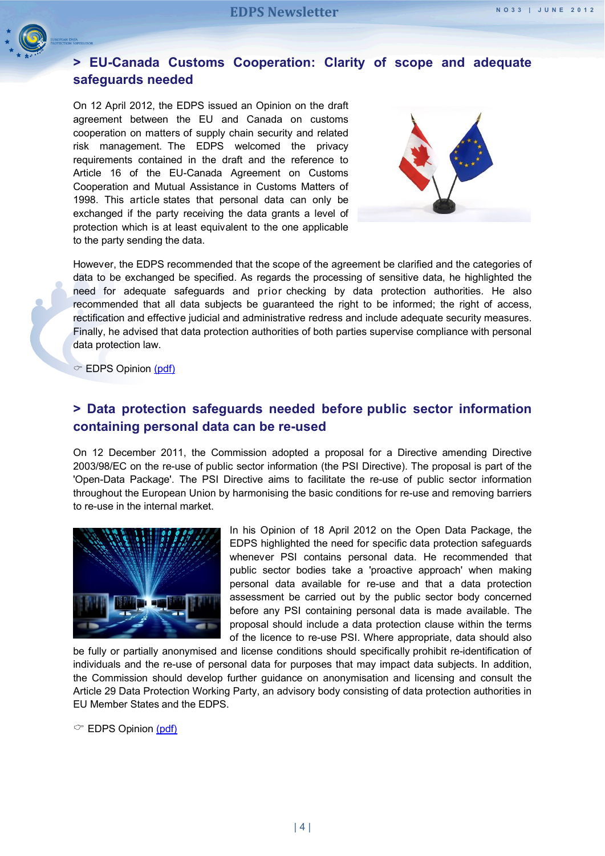<span id="page-3-0"></span>

#### **> EU-Canada Customs Cooperation: Clarity of scope and adequate safeguards needed**

On 12 April 2012, the EDPS issued an Opinion on the draft agreement between the EU and Canada on customs cooperation on matters of supply chain security and related risk management. The EDPS welcomed the privacy requirements contained in the draft and the reference to Article 16 of the EU-Canada Agreement on Customs Cooperation and Mutual Assistance in Customs Matters of 1998. This article states that personal data can only be exchanged if the party receiving the data grants a level of protection which is at least equivalent to the one applicable to the party sending the data.



However, the EDPS recommended that the scope of the agreement be clarified and the categories of data to be exchanged be specified. As regards the processing of sensitive data, he highlighted the need for adequate safeguards and prior checking by data protection authorities. He also recommended that all data subjects be guaranteed the right to be informed; the right of access, rectification and effective judicial and administrative redress and include adequate security measures. Finally, he advised that data protection authorities of both parties supervise compliance with personal data protection law.

 $\circ$  EDPS Opinion [\(pdf\)](http://www.edps.europa.eu/EDPSWEB/webdav/site/mySite/shared/Documents/Consultation/Opinions/2012/12-04-13_Supply_chain_Canada_EN.pdf)

#### <span id="page-3-1"></span>**> Data protection safeguards needed before public sector information containing personal data can be re-used**

On 12 December 2011, the Commission adopted a proposal for a Directive amending Directive 2003/98/EC on the re-use of public sector information (the PSI Directive). The proposal is part of the 'Open-Data Package'. The PSI Directive aims to facilitate the re-use of public sector information throughout the European Union by harmonising the basic conditions for re-use and removing barriers to re-use in the internal market.



In his Opinion of 18 April 2012 on the Open Data Package, the EDPS highlighted the need for specific data protection safeguards whenever PSI contains personal data. He recommended that public sector bodies take a 'proactive approach' when making personal data available for re-use and that a data protection assessment be carried out by the public sector body concerned before any PSI containing personal data is made available. The proposal should include a data protection clause within the terms of the licence to re-use PSI. Where appropriate, data should also

be fully or partially anonymised and license conditions should specifically prohibit re-identification of individuals and the re-use of personal data for purposes that may impact data subjects. In addition, the Commission should develop further guidance on anonymisation and licensing and consult the Article 29 Data Protection Working Party, an advisory body consisting of data protection authorities in EU Member States and the EDPS.

 $\circ$  EDPS Opinion [\(pdf\)](http://www.edps.europa.eu/EDPSWEB/webdav/site/mySite/shared/Documents/Consultation/Opinions/2012/12-04-18_Open_data_EN.pdf)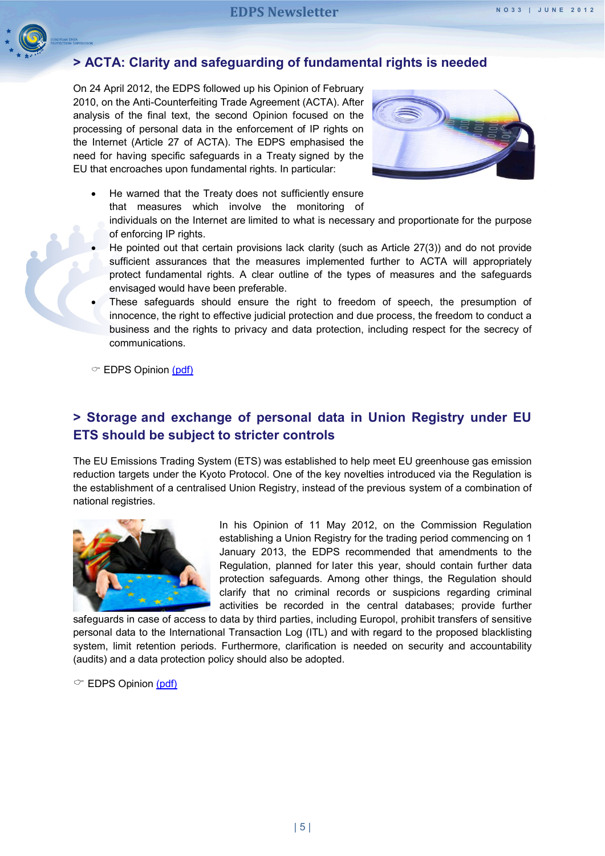<span id="page-4-0"></span>

### **> ACTA: Clarity and safeguarding of fundamental rights is needed**

On 24 April 2012, the EDPS followed up his Opinion of February 2010, on the Anti-Counterfeiting Trade Agreement (ACTA). After analysis of the final text, the second Opinion focused on the processing of personal data in the enforcement of IP rights on the Internet (Article 27 of ACTA). The EDPS emphasised the need for having specific safeguards in a Treaty signed by the EU that encroaches upon fundamental rights. In particular:



- He warned that the Treaty does not sufficiently ensure that measures which involve the monitoring of
	- individuals on the Internet are limited to what is necessary and proportionate for the purpose of enforcing IP rights.
- He pointed out that certain provisions lack clarity (such as Article 27(3)) and do not provide sufficient assurances that the measures implemented further to ACTA will appropriately protect fundamental rights. A clear outline of the types of measures and the safeguards envisaged would have been preferable.
- These safeguards should ensure the right to freedom of speech, the presumption of innocence, the right to effective judicial protection and due process, the freedom to conduct a business and the rights to privacy and data protection, including respect for the secrecy of communications.

 $\textcircled{r}$  EDPS Opinion [\(pdf\)](http://www.edps.europa.eu/EDPSWEB/webdav/site/mySite/shared/Documents/Consultation/Opinions/2012/12-04-24_ACTA_EN.pdf)

#### <span id="page-4-1"></span>**> Storage and exchange of personal data in Union Registry under EU ETS should be subject to stricter controls**

The EU Emissions Trading System (ETS) was established to help meet EU greenhouse gas emission reduction targets under the Kyoto Protocol. One of the key novelties introduced via the Regulation is the establishment of a centralised Union Registry, instead of the previous system of a combination of national registries.



In his Opinion of 11 May 2012, on the Commission Regulation establishing a Union Registry for the trading period commencing on 1 January 2013, the EDPS recommended that amendments to the Regulation, planned for later this year, should contain further data protection safeguards. Among other things, the Regulation should clarify that no criminal records or suspicions regarding criminal activities be recorded in the central databases; provide further

safeguards in case of access to data by third parties, including Europol, prohibit transfers of sensitive personal data to the International Transaction Log (ITL) and with regard to the proposed blacklisting system, limit retention periods. Furthermore, clarification is needed on security and accountability (audits) and a data protection policy should also be adopted.

 $\textcircled{r}$  EDPS Opinion [\(pdf\)](http://www.edps.europa.eu/EDPSWEB/webdav/site/mySite/shared/Documents/Consultation/Opinions/2012/12-05-11_Trading_period_EN.pdf)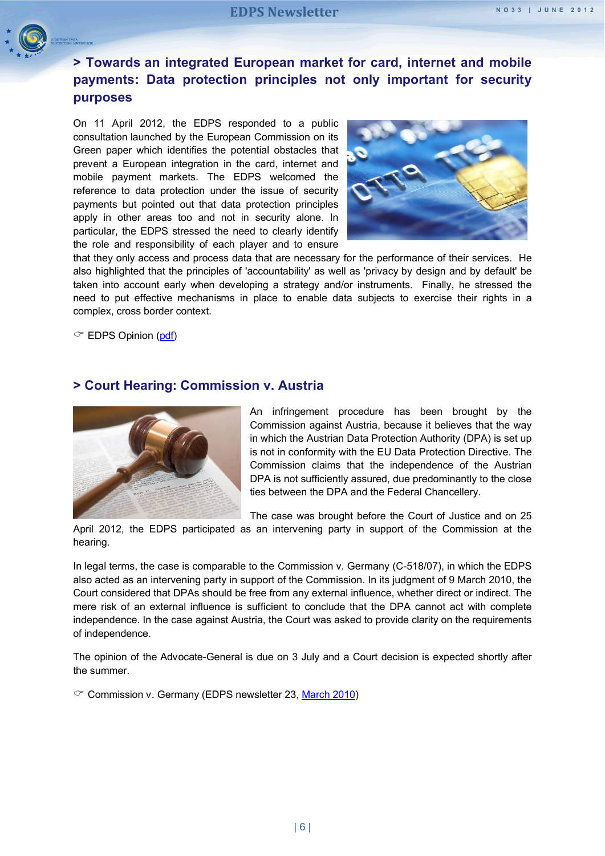<span id="page-5-0"></span>

# **> Towards an integrated European market for card, internet and mobile payments: Data protection principles not only important for security purposes**

On 11 April 2012, the EDPS responded to a public consultation launched by the European Commission on its Green paper which identifies the potential obstacles that prevent a European integration in the card, internet and mobile payment markets. The EDPS welcomed the reference to data protection under the issue of security payments but pointed out that data protection principles apply in other areas too and not in security alone. In particular, the EDPS stressed the need to clearly identify the role and responsibility of each player and to ensure



that they only access and process data that are necessary for the performance of their services. He also highlighted that the principles of 'accountability' as well as 'privacy by design and by default' be taken into account early when developing a strategy and/or instruments. Finally, he stressed the need to put effective mechanisms in place to enable data subjects to exercise their rights in a complex, cross border context.

 $\circ$  EDPS Opinion [\(pdf\)](http://www.edps.europa.eu/EDPSWEB/webdav/site/mySite/shared/Documents/Consultation/Comments/2012/12-04-11_Mobile_Payments_EN.pdf)

#### <span id="page-5-1"></span>**> Court Hearing: Commission v. Austria**



An infringement procedure has been brought by the Commission against Austria, because it believes that the way in which the Austrian Data Protection Authority (DPA) is set up is not in conformity with the EU Data Protection Directive. The Commission claims that the independence of the Austrian DPA is not sufficiently assured, due predominantly to the close ties between the DPA and the Federal Chancellery.

The case was brought before the Court of Justice and on 25

April 2012, the EDPS participated as an intervening party in support of the Commission at the hearing.

In legal terms, the case is comparable to the Commission v. Germany (C-518/07), in which the EDPS also acted as an intervening party in support of the Commission. In its judgment of 9 March 2010, the Court considered that DPAs should be free from any external influence, whether direct or indirect. The mere risk of an external influence is sufficient to conclude that the DPA cannot act with complete independence. In the case against Austria, the Court was asked to provide clarity on the requirements of independence.

The opinion of the Advocate-General is due on 3 July and a Court decision is expected shortly after the summer.

 $\degree$  Commission v. Germany (EDPS newsletter 23, [March 2010\)](http://www.edps.europa.eu/EDPSWEB/webdav/site/mySite/shared/Documents/EDPS/PressNews/Newsletters/Newsletter_23_EN.pdf)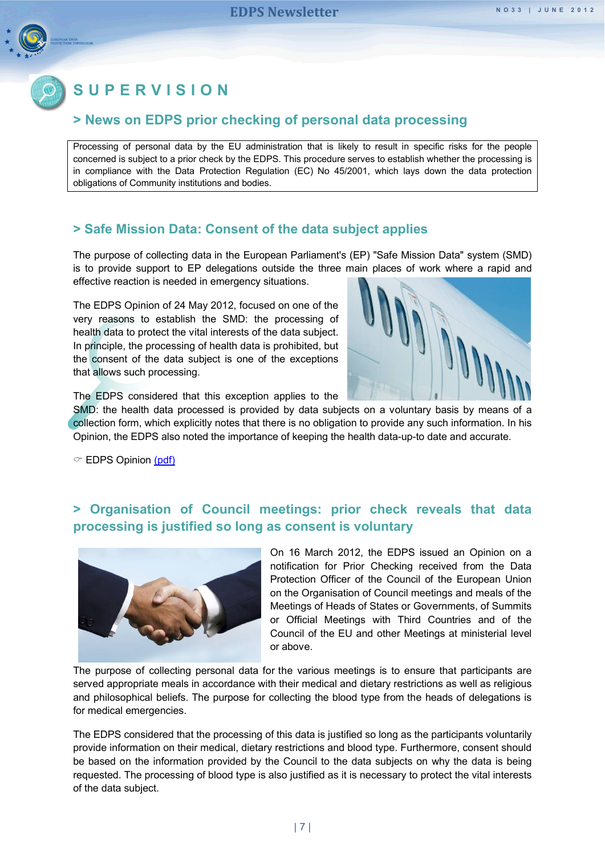<span id="page-6-0"></span>

# **SUPERVISION**

#### **> News on EDPS prior checking of personal data processing**

Processing of personal data by the EU administration that is likely to result in specific risks for the people concerned is subject to a prior check by the EDPS. This procedure serves to establish whether the processing is in compliance with the Data Protection Regulation (EC) No 45/2001, which lays down the data protection obligations of Community institutions and bodies.

#### <span id="page-6-1"></span>**> Safe Mission Data: Consent of the data subject applies**

The purpose of collecting data in the European Parliament's (EP) "Safe Mission Data" system (SMD) is to provide support to EP delegations outside the three main places of work where a rapid and effective reaction is needed in emergency situations.

The EDPS Opinion of 24 May 2012, focused on one of the very reasons to establish the SMD: the processing of health data to protect the vital interests of the data subject. In principle, the processing of health data is prohibited, but the consent of the data subject is one of the exceptions that allows such processing.



The EDPS considered that this exception applies to the

SMD: the health data processed is provided by data subjects on a voluntary basis by means of a collection form, which explicitly notes that there is no obligation to provide any such information. In his Opinion, the EDPS also noted the importance of keeping the health data-up-to date and accurate.

 $\textcircled{r}$  EDPS Opinion [\(pdf\)](http://www.edps.europa.eu/EDPSWEB/webdav/site/mySite/shared/Documents/Supervision/Priorchecks/Opinions/2012/12-05-24_Safe_Mission_Data_EN.pdf)

#### <span id="page-6-2"></span>**> Organisation of Council meetings: prior check reveals that data processing is justified so long as consent is voluntary**



On 16 March 2012, the EDPS issued an Opinion on a notification for Prior Checking received from the Data Protection Officer of the Council of the European Union on the Organisation of Council meetings and meals of the Meetings of Heads of States or Governments, of Summits or Official Meetings with Third Countries and of the Council of the EU and other Meetings at ministerial level or above.

The purpose of collecting personal data for the various meetings is to ensure that participants are served appropriate meals in accordance with their medical and dietary restrictions as well as religious and philosophical beliefs. The purpose for collecting the blood type from the heads of delegations is for medical emergencies.

The EDPS considered that the processing of this data is justified so long as the participants voluntarily provide information on their medical, dietary restrictions and blood type. Furthermore, consent should be based on the information provided by the Council to the data subjects on why the data is being requested. The processing of blood type is also justified as it is necessary to protect the vital interests of the data subject.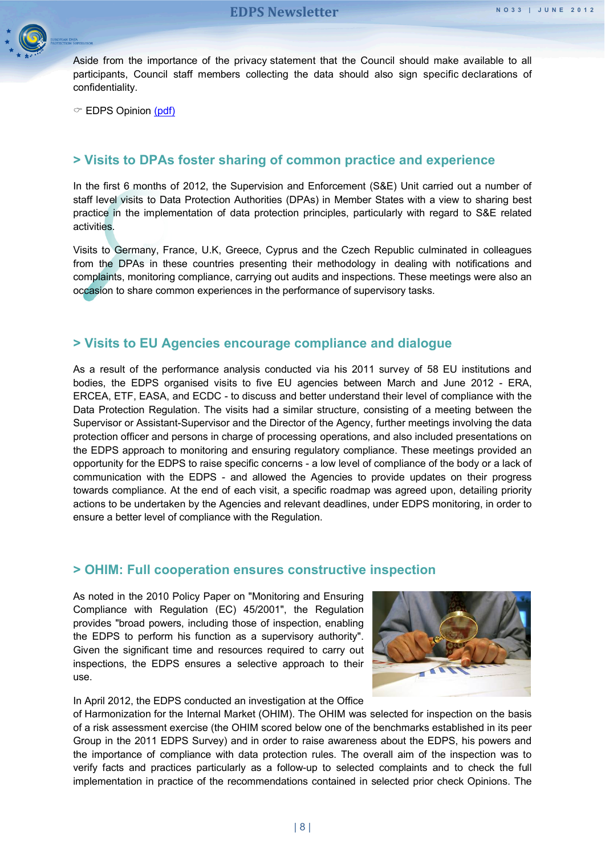

Aside from the importance of the privacy statement that the Council should make available to all participants, Council staff members collecting the data should also sign specific declarations of confidentiality.

 $\degree$  EDPS Opinion [\(pdf\)](http://www.edps.europa.eu/EDPSWEB/webdav/site/mySite/shared/Documents/Supervision/Priorchecks/Opinions/2012/12-03-16_meetings_meals_EN.pdf)

#### <span id="page-7-0"></span>**> Visits to DPAs foster sharing of common practice and experience**

In the first 6 months of 2012, the Supervision and Enforcement (S&E) Unit carried out a number of staff level visits to Data Protection Authorities (DPAs) in Member States with a view to sharing best practice in the implementation of data protection principles, particularly with regard to S&E related activities.

Visits to Germany, France, U.K, Greece, Cyprus and the Czech Republic culminated in colleagues from the DPAs in these countries presenting their methodology in dealing with notifications and complaints, monitoring compliance, carrying out audits and inspections. These meetings were also an occasion to share common experiences in the performance of supervisory tasks.

#### <span id="page-7-1"></span>**> Visits to EU Agencies encourage compliance and dialogue**

As a result of the performance analysis conducted via his 2011 survey of 58 EU institutions and bodies, the EDPS organised visits to five EU agencies between March and June 2012 - ERA, ERCEA, ETF, EASA, and ECDC - to discuss and better understand their level of compliance with the Data Protection Regulation. The visits had a similar structure, consisting of a meeting between the Supervisor or Assistant-Supervisor and the Director of the Agency, further meetings involving the data protection officer and persons in charge of processing operations, and also included presentations on the EDPS approach to monitoring and ensuring regulatory compliance. These meetings provided an opportunity for the EDPS to raise specific concerns - a low level of compliance of the body or a lack of communication with the EDPS - and allowed the Agencies to provide updates on their progress towards compliance. At the end of each visit, a specific roadmap was agreed upon, detailing priority actions to be undertaken by the Agencies and relevant deadlines, under EDPS monitoring, in order to ensure a better level of compliance with the Regulation.

#### <span id="page-7-2"></span>**> OHIM: Full cooperation ensures constructive inspection**

As noted in the 2010 Policy Paper on "Monitoring and Ensuring Compliance with Regulation (EC) 45/2001", the Regulation provides "broad powers, including those of inspection, enabling the EDPS to perform his function as a supervisory authority". Given the significant time and resources required to carry out inspections, the EDPS ensures a selective approach to their use.



In April 2012, the EDPS conducted an investigation at the Office

of Harmonization for the Internal Market (OHIM). The OHIM was selected for inspection on the basis of a risk assessment exercise (the OHIM scored below one of the benchmarks established in its peer Group in the 2011 EDPS Survey) and in order to raise awareness about the EDPS, his powers and the importance of compliance with data protection rules. The overall aim of the inspection was to verify facts and practices particularly as a follow-up to selected complaints and to check the full implementation in practice of the recommendations contained in selected prior check Opinions. The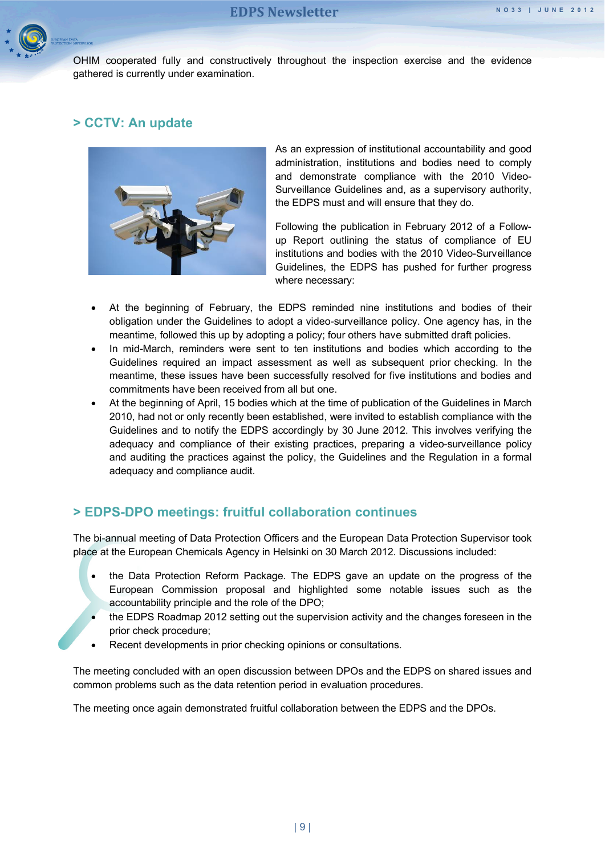

OHIM cooperated fully and constructively throughout the inspection exercise and the evidence gathered is currently under examination.

#### <span id="page-8-0"></span>**> CCTV: An update**



As an expression of institutional accountability and good administration, institutions and bodies need to comply and demonstrate compliance with the 2010 Video-Surveillance Guidelines and, as a supervisory authority, the EDPS must and will ensure that they do.

Following the publication in February 2012 of a Followup Report outlining the status of compliance of EU institutions and bodies with the 2010 Video-Surveillance Guidelines, the EDPS has pushed for further progress where necessary:

- At the beginning of February, the EDPS reminded nine institutions and bodies of their obligation under the Guidelines to adopt a video-surveillance policy. One agency has, in the meantime, followed this up by adopting a policy; four others have submitted draft policies.
- In mid-March, reminders were sent to ten institutions and bodies which according to the Guidelines required an impact assessment as well as subsequent prior checking. In the meantime, these issues have been successfully resolved for five institutions and bodies and commitments have been received from all but one.
- At the beginning of April, 15 bodies which at the time of publication of the Guidelines in March 2010, had not or only recently been established, were invited to establish compliance with the Guidelines and to notify the EDPS accordingly by 30 June 2012. This involves verifying the adequacy and compliance of their existing practices, preparing a video-surveillance policy and auditing the practices against the policy, the Guidelines and the Regulation in a formal adequacy and compliance audit.

#### <span id="page-8-1"></span>**> EDPS-DPO meetings: fruitful collaboration continues**

The bi-annual meeting of Data Protection Officers and the European Data Protection Supervisor took place at the European Chemicals Agency in Helsinki on 30 March 2012. Discussions included:

- the Data Protection Reform Package. The EDPS gave an update on the progress of the European Commission proposal and highlighted some notable issues such as the accountability principle and the role of the DPO;
- the EDPS Roadmap 2012 setting out the supervision activity and the changes foreseen in the prior check procedure;
- Recent developments in prior checking opinions or consultations.

The meeting concluded with an open discussion between DPOs and the EDPS on shared issues and common problems such as the data retention period in evaluation procedures.

The meeting once again demonstrated fruitful collaboration between the EDPS and the DPOs.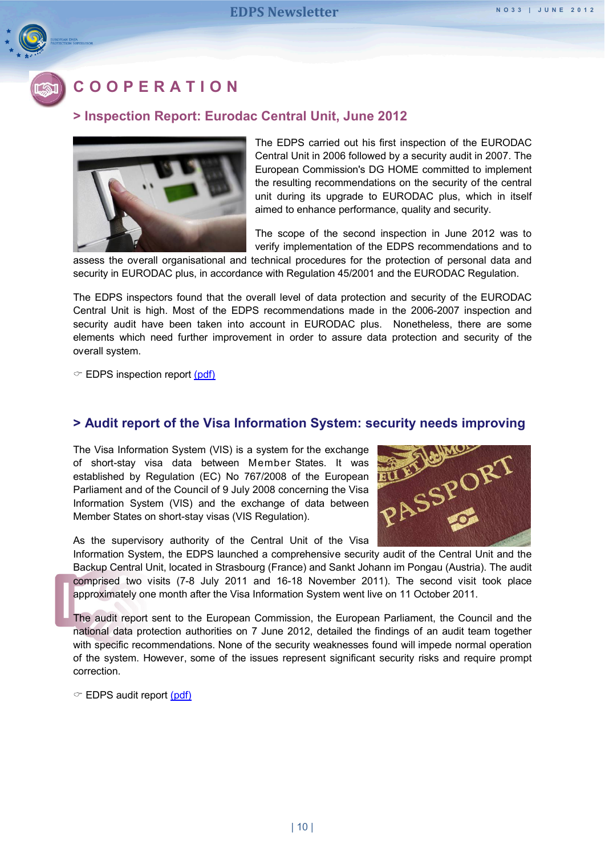<span id="page-9-0"></span>

# **COOPERATION**

#### <span id="page-9-1"></span>**> Inspection Report: Eurodac Central Unit, June 2012**



The EDPS carried out his first inspection of the EURODAC Central Unit in 2006 followed by a security audit in 2007. The European Commission's DG HOME committed to implement the resulting recommendations on the security of the central unit during its upgrade to EURODAC plus, which in itself aimed to enhance performance, quality and security.

The scope of the second inspection in June 2012 was to verify implementation of the EDPS recommendations and to

assess the overall organisational and technical procedures for the protection of personal data and security in EURODAC plus, in accordance with Regulation 45/2001 and the EURODAC Regulation.

The EDPS inspectors found that the overall level of data protection and security of the EURODAC Central Unit is high. Most of the EDPS recommendations made in the 2006-2007 inspection and security audit have been taken into account in EURODAC plus. Nonetheless, there are some elements which need further improvement in order to assure data protection and security of the overall system.

 $\degree$  EDPS inspection report [\(pdf\)](http://www.edps.europa.eu/EDPSWEB/webdav/site/mySite/shared/Documents/Supervision/Eurodac/12-06-14_EURODAC_inspection_summary_EN.pdf)

#### <span id="page-9-2"></span>**> Audit report of the Visa Information System: security needs improving**

The Visa Information System (VIS) is a system for the exchange of short-stay visa data between Member States. It was established by Regulation (EC) No 767/2008 of the European Parliament and of the Council of 9 July 2008 concerning the Visa Information System (VIS) and the exchange of data between Member States on short-stay visas (VIS Regulation).

As the supervisory authority of the Central Unit of the Visa



Information System, the EDPS launched a comprehensive security audit of the Central Unit and the Backup Central Unit, located in Strasbourg (France) and Sankt Johann im Pongau (Austria). The audit comprised two visits (7-8 July 2011 and 16-18 November 2011). The second visit took place approximately one month after the Visa Information System went live on 11 October 2011.

The audit report sent to the European Commission, the European Parliament, the Council and the national data protection authorities on 7 June 2012, detailed the findings of an audit team together with specific recommendations. None of the security weaknesses found will impede normal operation of the system. However, some of the issues represent significant security risks and require prompt correction.

 $\degree$  EDPS audit report [\(pdf\)](http://www.edps.europa.eu/EDPSWEB/webdav/site/mySite/shared/Documents/Supervision/VIS/12-06-01_VIS_security_audit_report_summ_EN.pdf)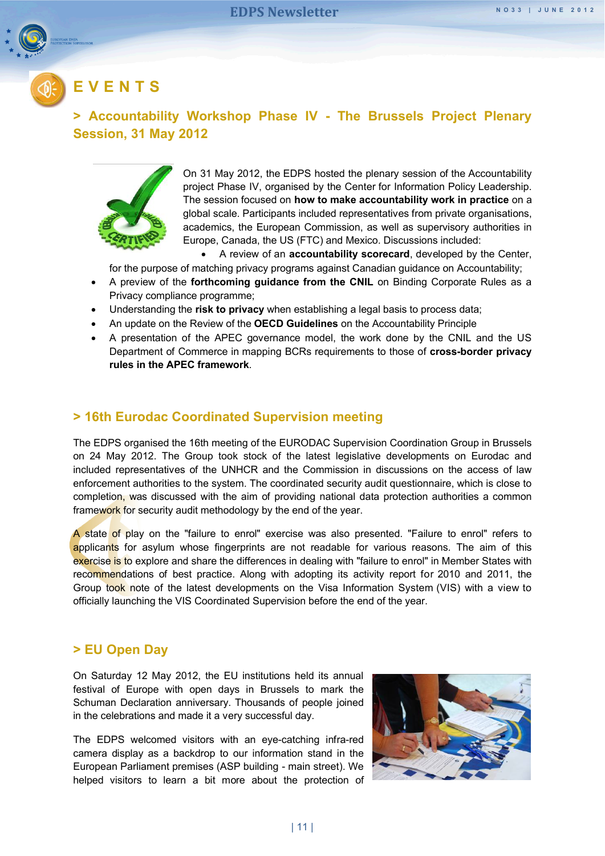<span id="page-10-0"></span>

# **EVENTS**

#### <span id="page-10-1"></span>**> Accountability Workshop Phase IV - The Brussels Project Plenary Session, 31 May 2012**



On 31 May 2012, the EDPS hosted the plenary session of the Accountability project Phase IV, organised by the Center for Information Policy Leadership. The session focused on **how to make accountability work in practice** on a global scale. Participants included representatives from private organisations, academics, the European Commission, as well as supervisory authorities in Europe, Canada, the US (FTC) and Mexico. Discussions included:

A review of an **accountability scorecard**, developed by the Center,

for the purpose of matching privacy programs against Canadian guidance on Accountability;

- A preview of the **forthcoming guidance from the CNIL** on Binding Corporate Rules as a Privacy compliance programme;
- Understanding the **risk to privacy** when establishing a legal basis to process data;
- An update on the Review of the **OECD Guidelines** on the Accountability Principle
- A presentation of the APEC governance model, the work done by the CNIL and the US Department of Commerce in mapping BCRs requirements to those of **cross-border privacy rules in the APEC framework**.

#### <span id="page-10-2"></span>**> 16th Eurodac Coordinated Supervision meeting**

The EDPS organised the 16th meeting of the EURODAC Supervision Coordination Group in Brussels on 24 May 2012. The Group took stock of the latest legislative developments on Eurodac and included representatives of the UNHCR and the Commission in discussions on the access of law enforcement authorities to the system. The coordinated security audit questionnaire, which is close to completion, was discussed with the aim of providing national data protection authorities a common framework for security audit methodology by the end of the year.

A state of play on the "failure to enrol" exercise was also presented. "Failure to enrol" refers to applicants for asylum whose fingerprints are not readable for various reasons. The aim of this exercise is to explore and share the differences in dealing with "failure to enrol" in Member States with recommendations of best practice. Along with adopting its activity report for 2010 and 2011, the Group took note of the latest developments on the Visa Information System (VIS) with a view to officially launching the VIS Coordinated Supervision before the end of the year.

#### <span id="page-10-3"></span>**> EU Open Day**

On Saturday 12 May 2012, the EU institutions held its annual festival of Europe with open days in Brussels to mark the Schuman Declaration anniversary. Thousands of people joined in the celebrations and made it a very successful day.

The EDPS welcomed visitors with an eye-catching infra-red camera display as a backdrop to our information stand in the European Parliament premises (ASP building - main street). We helped visitors to learn a bit more about the protection of

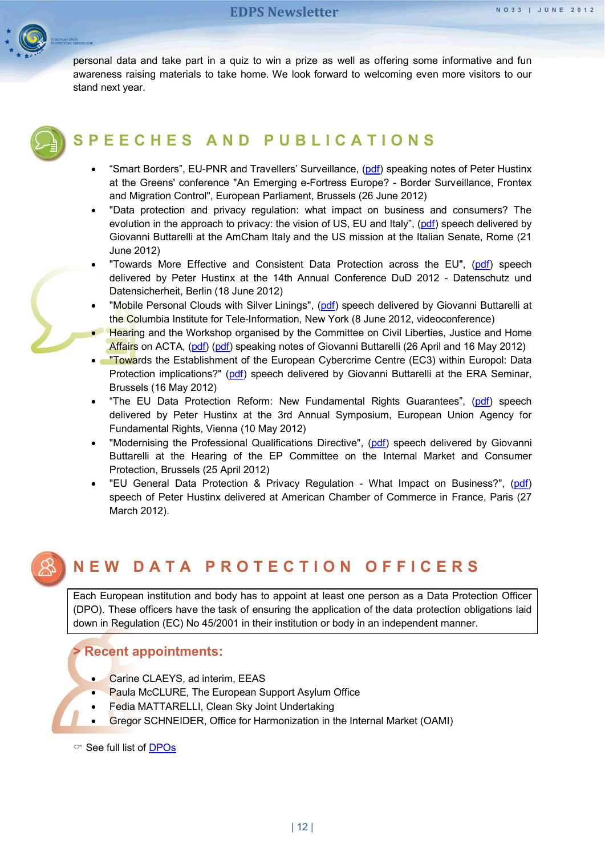

personal data and take part in a quiz to win a prize as well as offering some informative and fun awareness raising materials to take home. We look forward to welcoming even more visitors to our stand next year.

<span id="page-11-0"></span>

# **SPEECHES AND PUBLICA TIONS**

- "Smart Borders", EU-PNR and Travellers' Surveillance, [\(pdf\)](http://www.edps.europa.eu/EDPSWEB/webdav/site/mySite/shared/Documents/EDPS/Publications/Speeches/2012/12-06-26_Smart_Boarders_EN.pdf) speaking notes of Peter Hustinx at the Greens' conference "An Emerging e-Fortress Europe? - Border Surveillance, Frontex and Migration Control", European Parliament, Brussels (26 June 2012)
- "Data protection and privacy regulation: what impact on business and consumers? The evolution in the approach to privacy: the vision of US, EU and Italy", [\(pdf\)](http://www.edps.europa.eu/EDPSWEB/webdav/site/mySite/shared/Documents/EDPS/Publications/Speeches/2012/12-06-21_Speech_AmCham_GB_EN.pdf) speech delivered by Giovanni Buttarelli at the AmCham Italy and the US mission at the Italian Senate, Rome (21 June 2012)
- "Towards More Effective and Consistent Data Protection across the EU", [\(pdf\)](http://www.edps.europa.eu/EDPSWEB/webdav/site/mySite/shared/Documents/EDPS/Publications/Speeches/2012/12-06-18_DUD_Speech_Berlin_EN.pdf) speech delivered by Peter Hustinx at the 14th Annual Conference DuD 2012 - Datenschutz und Datensicherheit, Berlin (18 June 2012)
- "Mobile Personal Clouds with Silver Linings", [\(pdf\)](http://www.edps.europa.eu/EDPSWEB/webdav/site/mySite/shared/Documents/EDPS/Publications/Speeches/2012/12-06-08_Speech_Cloud_EN.pdf) speech delivered by Giovanni Buttarelli at the Columbia Institute for Tele-Information, New York (8 June 2012, videoconference)
- **Hearing and the Workshop organised by the Committee on Civil Liberties, Justice and Home** Affairs on ACTA, [\(pdf\)](http://www.edps.europa.eu/EDPSWEB/webdav/site/mySite/shared/Documents/EDPS/Publications/Speeches/2012/12-05-16_LIBE_ACTA_EN.pdf) (pdf) speaking notes of Giovanni Buttarelli (26 April and 16 May 2012)
- **. Towards the Establishment of the European Cybercrime Centre (EC3) within Europol: Data** Protection implications?" [\(pdf\)](http://www.edps.europa.eu/EDPSWEB/webdav/site/mySite/shared/Documents/EDPS/Publications/Speeches/2012/12-05-16_Speech_Cybercrime_EN.pdf) speech delivered by Giovanni Buttarelli at the ERA Seminar, Brussels (16 May 2012)
- "The EU Data Protection Reform: New Fundamental Rights Guarantees", [\(pdf\)](http://www.edps.europa.eu/EDPSWEB/webdav/site/mySite/shared/Documents/EDPS/Publications/Speeches/2012/12-05-10_Speech_Vienna_EN.pdf) speech delivered by Peter Hustinx at the 3rd Annual Symposium, European Union Agency for Fundamental Rights, Vienna (10 May 2012)
- "Modernising the Professional Qualifications Directive", [\(pdf\)](http://www.edps.europa.eu/EDPSWEB/webdav/site/mySite/shared/Documents/EDPS/Publications/Speeches/2012/12-04-25_Speech_Qualification_Directive_EN.pdf) speech delivered by Giovanni Buttarelli at the Hearing of the EP Committee on the Internal Market and Consumer Protection, Brussels (25 April 2012)
- "EU General Data Protection & Privacy Regulation What Impact on Business?", [\(pdf\)](http://www.edps.europa.eu/EDPSWEB/webdav/site/mySite/shared/Documents/EDPS/Publications/Speeches/2012/12-03-27_ACC_Paris_EN.pdf) speech of Peter Hustinx delivered at American Chamber of Commerce in France, Paris (27 March 2012).

# <span id="page-11-1"></span>**NEW DATA PROTECTION OFFICERS**

Each European institution and body has to appoint at least one person as a Data Protection Officer (DPO). These officers have the task of ensuring the application of the data protection obligations laid down in Regulation (EC) No 45/2001 in their institution or body in an independent manner.

#### <span id="page-11-2"></span>**> Recent appointments:**

- Carine CLAEYS, ad interim, EEAS
- Paula McCLURE, The European Support Asylum Office
- Fedia MATTARELLI, Clean Sky Joint Undertaking
- Gregor SCHNEIDER, Office for Harmonization in the Internal Market (OAMI)
- $\degree$  See full list of **DPOs**